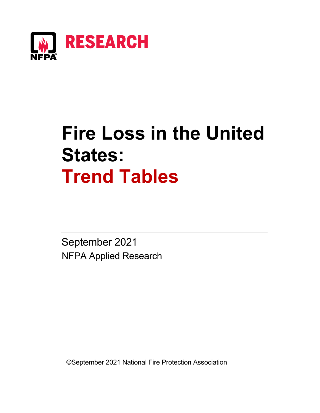

# **Fire Loss in the United States: Trend Tables**

September 2021 NFPA Applied Research

©September 2021 National Fire Protection Association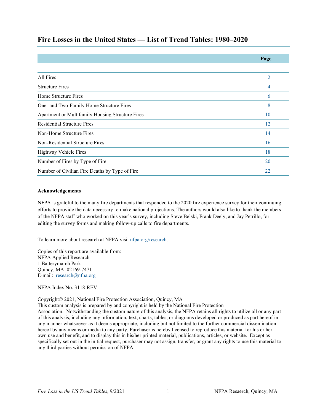# **Fire Losses in the United States — List of Trend Tables: 1980–2020**

|                                                  | Page           |
|--------------------------------------------------|----------------|
|                                                  |                |
| All Fires                                        | $\overline{2}$ |
| <b>Structure Fires</b>                           | 4              |
| Home Structure Fires                             | 6              |
| One- and Two-Family Home Structure Fires         | 8              |
| Apartment or Multifamily Housing Structure Fires | 10             |
| <b>Residential Structure Fires</b>               | 12             |
| Non-Home Structure Fires                         | 14             |
| Non-Residential Structure Fires                  | 16             |
| Highway Vehicle Fires                            | 18             |
| Number of Fires by Type of Fire                  | 20             |
| Number of Civilian Fire Deaths by Type of Fire   | 22             |

### **Acknowledgements**

NFPA is grateful to the many fire departments that responded to the 2020 fire experience survey for their continuing efforts to provide the data necessary to make national projections. The authors would also like to thank the members of the NFPA staff who worked on this year's survey, including Steve Belski, Frank Deely, and Jay Petrillo, for editing the survey forms and making follow-up calls to fire departments.

To learn more about research at NFPA visit [nfpa.org/research.](http://www.nfpa.org/research)

Copies of this report are available from: NFPA Applied Research 1 Batterymarch Park Quincy, MA 02169-7471 E-mail: [research@nfpa.org](mailto:research@nfpa.org)

NFPA Index No. 3118-REV

### Copyright© 2021, National Fire Protection Association, Quincy, MA

This custom analysis is prepared by and copyright is held by the National Fire Protection

Association. Notwithstanding the custom nature of this analysis, the NFPA retains all rights to utilize all or any part of this analysis, including any information, text, charts, tables, or diagrams developed or produced as part hereof in any manner whatsoever as it deems appropriate, including but not limited to the further commercial dissemination hereof by any means or media to any party. Purchaser is hereby licensed to reproduce this material for his or her own use and benefit, and to display this in his/her printed material, publications, articles, or website. Except as specifically set out in the initial request, purchaser may not assign, transfer, or grant any rights to use this material to any third parties without permission of NFPA.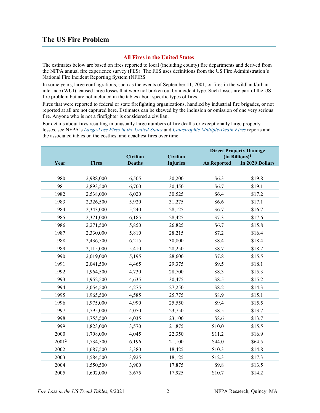# **The US Fire Problem**

## **All Fires in the United States**

The estimates below are based on fires reported to local (including county) fire departments and derived from the NFPA annual fire experience survey (FES). The FES uses definitions from the US Fire Administration's National Fire Incident Reporting System (NFIRS

In some years, large conflagrations, such as the events of September 11, 2001, or fires in the wildland/urban interface (WUI), caused large losses that were not broken out by incident type. Such losses are part of the US fire problem but are not included in the tables about specific types of fires.

Fires that were reported to federal or state firefighting organizations, handled by industrial fire brigades, or not reported at all are not captured here. Estimates can be skewed by the inclusion or omission of one very serious fire. Anyone who is not a firefighter is considered a civilian.

For details about fires resulting in unusually large numbers of fire deaths or exceptionally large property losses, see NFPA's *[Large-Loss Fires in the United States](https://www.nfpa.org/News-and-Research/Data-research-and-tools/US-Fire-Problem/Large-loss-fires-in-the-United-States)* and *[Catastrophic Multiple-Death Fires](https://www.nfpa.org/News-and-Research/Data-research-and-tools/US-Fire-Problem/Catastrophic-multiple-death-fires)* reports and the associated tables on the costliest and deadliest fires over time.

|                   |              | Civilian      | <b>Civilian</b> |                    | <b>Direct Property Damage</b><br>(in Billions) <sup>1</sup> |
|-------------------|--------------|---------------|-----------------|--------------------|-------------------------------------------------------------|
| Year              | <b>Fires</b> | <b>Deaths</b> | <b>Injuries</b> | <b>As Reported</b> | In 2020 Dollars                                             |
|                   |              |               |                 |                    |                                                             |
| 1980              | 2,988,000    | 6,505         | 30,200          | \$6.3              | \$19.8                                                      |
| 1981              | 2,893,500    | 6,700         | 30,450          | \$6.7              | \$19.1                                                      |
| 1982              | 2,538,000    | 6,020         | 30,525          | \$6.4              | \$17.2                                                      |
| 1983              | 2,326,500    | 5,920         | 31,275          | \$6.6              | \$17.1                                                      |
| 1984              | 2,343,000    | 5,240         | 28,125          | \$6.7              | \$16.7                                                      |
| 1985              | 2,371,000    | 6,185         | 28,425          | \$7.3              | \$17.6                                                      |
| 1986              | 2,271,500    | 5,850         | 26,825          | \$6.7              | \$15.8                                                      |
| 1987              | 2,330,000    | 5,810         | 28,215          | \$7.2              | \$16.4                                                      |
| 1988              | 2,436,500    | 6,215         | 30,800          | \$8.4              | \$18.4                                                      |
| 1989              | 2,115,000    | 5,410         | 28,250          | \$8.7              | \$18.2                                                      |
| 1990              | 2,019,000    | 5,195         | 28,600          | \$7.8              | \$15.5                                                      |
| 1991              | 2,041,500    | 4,465         | 29,375          | \$9.5              | \$18.1                                                      |
| 1992              | 1,964,500    | 4,730         | 28,700          | \$8.3              | \$15.3                                                      |
| 1993              | 1,952,500    | 4,635         | 30,475          | \$8.5              | \$15.2                                                      |
| 1994              | 2,054,500    | 4,275         | 27,250          | \$8.2              | \$14.3                                                      |
| 1995              | 1,965,500    | 4,585         | 25,775          | \$8.9              | \$15.1                                                      |
| 1996              | 1,975,000    | 4,990         | 25,550          | \$9.4              | \$15.5                                                      |
| 1997              | 1,795,000    | 4,050         | 23,750          | \$8.5              | \$13.7                                                      |
| 1998              | 1,755,500    | 4,035         | 23,100          | \$8.6              | \$13.7                                                      |
| 1999              | 1,823,000    | 3,570         | 21,875          | \$10.0             | \$15.5                                                      |
| 2000              | 1,708,000    | 4,045         | 22,350          | \$11.2             | \$16.9                                                      |
| 2001 <sup>2</sup> | 1,734,500    | 6,196         | 21,100          | \$44.0             | \$64.5                                                      |
| 2002              | 1,687,500    | 3,380         | 18,425          | \$10.3             | \$14.8                                                      |
| 2003              | 1,584,500    | 3,925         | 18,125          | \$12.3             | \$17.3                                                      |
| 2004              | 1,550,500    | 3,900         | 17,875          | \$9.8              | \$13.5                                                      |
| 2005              | 1,602,000    | 3,675         | 17,925          | \$10.7             | \$14.2                                                      |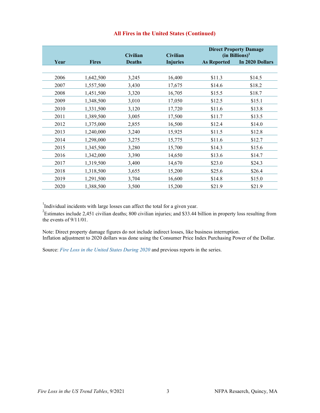|      |              | <b>Civilian</b> | <b>Civilian</b> |                    | <b>Direct Property Damage</b><br>(in Billions) <sup>1</sup> |
|------|--------------|-----------------|-----------------|--------------------|-------------------------------------------------------------|
| Year | <b>Fires</b> | <b>Deaths</b>   | <b>Injuries</b> | <b>As Reported</b> | In 2020 Dollars                                             |
|      |              |                 |                 |                    |                                                             |
| 2006 | 1,642,500    | 3,245           | 16,400          | \$11.3             | \$14.5                                                      |
| 2007 | 1,557,500    | 3,430           | 17,675          | \$14.6             | \$18.2                                                      |
| 2008 | 1,451,500    | 3,320           | 16,705          | \$15.5             | \$18.7                                                      |
| 2009 | 1,348,500    | 3,010           | 17,050          | \$12.5             | \$15.1                                                      |
| 2010 | 1,331,500    | 3,120           | 17,720          | \$11.6             | \$13.8                                                      |
| 2011 | 1,389,500    | 3,005           | 17,500          | \$11.7             | \$13.5                                                      |
| 2012 | 1,375,000    | 2,855           | 16,500          | \$12.4             | \$14.0                                                      |
| 2013 | 1,240,000    | 3,240           | 15,925          | \$11.5             | \$12.8                                                      |
| 2014 | 1,298,000    | 3,275           | 15,775          | \$11.6             | \$12.7                                                      |
| 2015 | 1,345,500    | 3,280           | 15,700          | \$14.3             | \$15.6                                                      |
| 2016 | 1,342,000    | 3,390           | 14,650          | \$13.6             | \$14.7                                                      |
| 2017 | 1,319,500    | 3,400           | 14,670          | \$23.0             | \$24.3                                                      |
| 2018 | 1,318,500    | 3,655           | 15,200          | \$25.6             | \$26.4                                                      |
| 2019 | 1,291,500    | 3,704           | 16,600          | \$14.8             | \$15.0                                                      |
| 2020 | 1,388,500    | 3,500           | 15,200          | \$21.9             | \$21.9                                                      |

## **All Fires in the United States (Continued)**

<sup>1</sup>Individual incidents with large losses can affect the total for a given year.

<sup>2</sup>Estimates include 2,451 civilian deaths; 800 civilian injuries; and \$33.44 billion in property loss resulting from the events of 9/11/01.

Note: Direct property damage figures do not include indirect losses, like business interruption. Inflation adjustment to 2020 dollars was done using the Consumer Price Index Purchasing Power of the Dollar.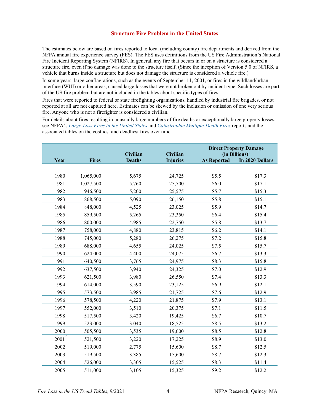#### **Structure Fire Problem in the United States**

The estimates below are based on fires reported to local (including county) fire departments and derived from the NFPA annual fire experience survey (FES). The FES uses definitions from the US Fire Administration's National Fire Incident Reporting System (NFIRS). In general, any fire that occurs in or on a structure is considered a structure fire, even if no damage was done to the structure itself. (Since the inception of Version 5.0 of NFIRS, a vehicle that burns inside a structure but does not damage the structure is considered a vehicle fire.)

In some years, large conflagrations, such as the events of September 11, 2001, or fires in the wildland/urban interface (WUI) or other areas, caused large losses that were not broken out by incident type. Such losses are part of the US fire problem but are not included in the tables about specific types of fires.

Fires that were reported to federal or state firefighting organizations, handled by industrial fire brigades, or not reported at all are not captured here. Estimates can be skewed by the inclusion or omission of one very serious fire. Anyone who is not a firefighter is considered a civilian.

For details about fires resulting in unusually large numbers of fire deaths or exceptionally large property losses, see NFPA's *[Large-Loss Fires in the United States](https://www.nfpa.org/News-and-Research/Data-research-and-tools/US-Fire-Problem/Large-loss-fires-in-the-United-States)* and *[Catastrophic Multiple-Death Fires](https://www.nfpa.org/News-and-Research/Data-research-and-tools/US-Fire-Problem/Catastrophic-multiple-death-fires)* reports and the associated tables on the costliest and deadliest fires over time.

|                 |              | <b>Civilian</b> | <b>Civilian</b> |                    | <b>Direct Property Damage</b><br>(in Billions) <sup>1</sup> |
|-----------------|--------------|-----------------|-----------------|--------------------|-------------------------------------------------------------|
| Year            | <b>Fires</b> | <b>Deaths</b>   | <b>Injuries</b> | <b>As Reported</b> | In 2020 Dollars                                             |
|                 |              |                 |                 |                    |                                                             |
| 1980            | 1,065,000    | 5,675           | 24,725          | \$5.5              | \$17.3                                                      |
| 1981            | 1,027,500    | 5,760           | 25,700          | \$6.0              | \$17.1                                                      |
| 1982            | 946,500      | 5,200           | 25,575          | \$5.7              | \$15.3                                                      |
| 1983            | 868,500      | 5,090           | 26,150          | \$5.8              | \$15.1                                                      |
| 1984            | 848,000      | 4,525           | 23,025          | \$5.9              | \$14.7                                                      |
| 1985            | 859,500      | 5,265           | 23,350          | \$6.4              | \$15.4                                                      |
| 1986            | 800,000      | 4,985           | 22,750          | \$5.8              | \$13.7                                                      |
| 1987            | 758,000      | 4,880           | 23,815          | \$6.2              | \$14.1                                                      |
| 1988            | 745,000      | 5,280           | 26,275          | \$7.2              | \$15.8                                                      |
| 1989            | 688,000      | 4,655           | 24,025          | \$7.5              | \$15.7                                                      |
| 1990            | 624,000      | 4,400           | 24,075          | \$6.7              | \$13.3                                                      |
| 1991            | 640,500      | 3,765           | 24,975          | \$8.3              | \$15.8                                                      |
| 1992            | 637,500      | 3,940           | 24,325          | \$7.0              | \$12.9                                                      |
| 1993            | 621,500      | 3,980           | 26,550          | \$7.4              | \$13.3                                                      |
| 1994            | 614,000      | 3,590           | 23,125          | \$6.9              | \$12.1                                                      |
| 1995            | 573,500      | 3,985           | 21,725          | \$7.6              | \$12.9                                                      |
| 1996            | 578,500      | 4,220           | 21,875          | \$7.9              | \$13.1                                                      |
| 1997            | 552,000      | 3,510           | 20,375          | \$7.1              | \$11.5                                                      |
| 1998            | 517,500      | 3,420           | 19,425          | \$6.7              | \$10.7                                                      |
| 1999            | 523,000      | 3,040           | 18,525          | \$8.5              | \$13.2                                                      |
| 2000            | 505,500      | 3,535           | 19,600          | \$8.5              | \$12.8                                                      |
| $\sqrt{2001^2}$ | 521,500      | 3,220           | 17,225          | \$8.9              | \$13.0                                                      |
| 2002            | 519,000      | 2,775           | 15,600          | \$8.7              | \$12.5                                                      |
| 2003            | 519,500      | 3,385           | 15,600          | \$8.7              | \$12.3                                                      |
| 2004            | 526,000      | 3,305           | 15,525          | \$8.3              | \$11.4                                                      |
| 2005            | 511,000      | 3,105           | 15,325          | \$9.2              | \$12.2                                                      |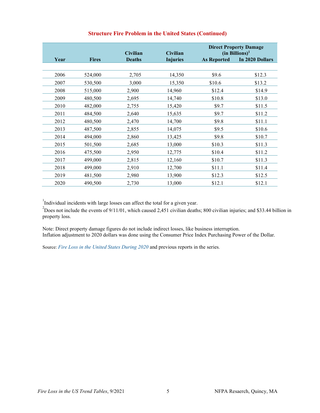|      |              | <b>Civilian</b> | <b>Civilian</b> |                    | <b>Direct Property Damage</b><br>(in Billions) <sup>1</sup> |
|------|--------------|-----------------|-----------------|--------------------|-------------------------------------------------------------|
| Year | <b>Fires</b> | <b>Deaths</b>   | <b>Injuries</b> | <b>As Reported</b> | In 2020 Dollars                                             |
|      |              |                 |                 |                    |                                                             |
| 2006 | 524,000      | 2,705           | 14,350          | \$9.6              | \$12.3                                                      |
| 2007 | 530,500      | 3,000           | 15,350          | \$10.6             | \$13.2                                                      |
| 2008 | 515,000      | 2,900           | 14,960          | \$12.4             | \$14.9                                                      |
| 2009 | 480,500      | 2,695           | 14,740          | \$10.8             | \$13.0                                                      |
| 2010 | 482,000      | 2,755           | 15,420          | \$9.7              | \$11.5                                                      |
| 2011 | 484,500      | 2,640           | 15,635          | \$9.7              | \$11.2                                                      |
| 2012 | 480,500      | 2,470           | 14,700          | \$9.8              | \$11.1                                                      |
| 2013 | 487,500      | 2,855           | 14,075          | \$9.5              | \$10.6                                                      |
| 2014 | 494,000      | 2,860           | 13,425          | \$9.8              | \$10.7                                                      |
| 2015 | 501,500      | 2,685           | 13,000          | \$10.3             | \$11.3                                                      |
| 2016 | 475,500      | 2,950           | 12,775          | \$10.4             | \$11.2                                                      |
| 2017 | 499,000      | 2,815           | 12,160          | \$10.7             | \$11.3                                                      |
| 2018 | 499,000      | 2,910           | 12,700          | \$11.1             | \$11.4                                                      |
| 2019 | 481,500      | 2,980           | 13,900          | \$12.3             | \$12.5                                                      |
| 2020 | 490,500      | 2,730           | 13,000          | \$12.1             | \$12.1                                                      |

# **Structure Fire Problem in the United States (Continued)**

<sup>1</sup>Individual incidents with large losses can affect the total for a given year.

 $2^{2}$ Does not include the events of 9/11/01, which caused 2,451 civilian deaths; 800 civilian injuries; and \$33.44 billion in property loss.

Note: Direct property damage figures do not include indirect losses, like business interruption. Inflation adjustment to 2020 dollars was done using the Consumer Price Index Purchasing Power of the Dollar.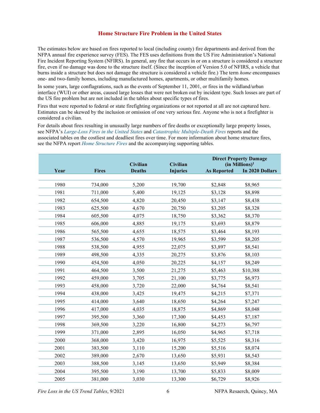#### **Home Structure Fire Problem in the United States**

The estimates below are based on fires reported to local (including county) fire departments and derived from the NFPA annual fire experience survey (FES). The FES uses definitions from the US Fire Administration's National Fire Incident Reporting System (NFIRS). In general, any fire that occurs in or on a structure is considered a structure fire, even if no damage was done to the structure itself. (Since the inception of Version 5.0 of NFIRS, a vehicle that burns inside a structure but does not damage the structure is considered a vehicle fire.) The term *home* encompasses one- and two-family homes, including manufactured homes, apartments, or other multifamily homes.

In some years, large conflagrations, such as the events of September 11, 2001, or fires in the wildland/urban interface (WUI) or other areas, caused large losses that were not broken out by incident type. Such losses are part of the US fire problem but are not included in the tables about specific types of fires.

Fires that were reported to federal or state firefighting organizations or not reported at all are not captured here. Estimates can be skewed by the inclusion or omission of one very serious fire. Anyone who is not a firefighter is considered a civilian.

For details about fires resulting in unusually large numbers of fire deaths or exceptionally large property losses, see NFPA's *[Large-Loss Fires in the United States](https://www.nfpa.org/News-and-Research/Data-research-and-tools/US-Fire-Problem/Large-loss-fires-in-the-United-States)* and *[Catastrophic Multiple-Death Fires](https://www.nfpa.org/News-and-Research/Data-research-and-tools/US-Fire-Problem/Catastrophic-multiple-death-fires)* reports and the associated tables on the costliest and deadliest fires over time. For more information about home structure fires, see the NFPA report *[Home Structure Fires](https://www.nfpa.org/News-and-Research/Data-research-and-tools/Building-and-Life-Safety/Home-Structure-Fires)* and the accompanying supporting tables.

|      |              | Civilian      | <b>Civilian</b> |                    | <b>Direct Property Damage</b><br>$(in$ Millions) <sup>1</sup> |
|------|--------------|---------------|-----------------|--------------------|---------------------------------------------------------------|
| Year | <b>Fires</b> | <b>Deaths</b> | <b>Injuries</b> | <b>As Reported</b> | In 2020 Dollars                                               |
|      |              |               |                 |                    |                                                               |
| 1980 | 734,000      | 5,200         | 19,700          | \$2,848            | \$8,965                                                       |
| 1981 | 711,000      | 5,400         | 19,125          | \$3,128            | \$8,898                                                       |
| 1982 | 654,500      | 4,820         | 20,450          | \$3,147            | \$8,438                                                       |
| 1983 | 625,500      | 4,670         | 20,750          | \$3,205            | \$8,328                                                       |
| 1984 | 605,500      | 4,075         | 18,750          | \$3,362            | \$8,370                                                       |
| 1985 | 606,000      | 4,885         | 19,175          | \$3,693            | \$8,879                                                       |
| 1986 | 565,500      | 4,655         | 18,575          | \$3,464            | \$8,193                                                       |
| 1987 | 536,500      | 4,570         | 19,965          | \$3,599            | \$8,205                                                       |
| 1988 | 538,500      | 4,955         | 22,075          | \$3,897            | \$8,541                                                       |
| 1989 | 498,500      | 4,335         | 20,275          | \$3,876            | \$8,103                                                       |
| 1990 | 454,500      | 4,050         | 20,225          | \$4,157            | \$8,249                                                       |
| 1991 | 464,500      | 3,500         | 21,275          | \$5,463            | \$10,388                                                      |
| 1992 | 459,000      | 3,705         | 21,100          | \$3,775            | \$6,973                                                       |
| 1993 | 458,000      | 3,720         | 22,000          | \$4,764            | \$8,541                                                       |
| 1994 | 438,000      | 3,425         | 19,475          | \$4,215            | \$7,371                                                       |
| 1995 | 414,000      | 3,640         | 18,650          | \$4,264            | \$7,247                                                       |
| 1996 | 417,000      | 4,035         | 18,875          | \$4,869            | \$8,048                                                       |
| 1997 | 395,500      | 3,360         | 17,300          | \$4,453            | \$7,187                                                       |
| 1998 | 369,500      | 3,220         | 16,800          | \$4,273            | \$6,797                                                       |
| 1999 | 371,000      | 2,895         | 16,050          | \$4,965            | \$7,718                                                       |
| 2000 | 368,000      | 3,420         | 16,975          | \$5,525            | \$8,316                                                       |
| 2001 | 383,500      | 3,110         | 15,200          | \$5,516            | \$8,074                                                       |
| 2002 | 389,000      | 2,670         | 13,650          | \$5,931            | \$8,543                                                       |
| 2003 | 388,500      | 3,145         | 13,650          | \$5,949            | \$8,384                                                       |
| 2004 | 395,500      | 3,190         | 13,700          | \$5,833            | \$8,009                                                       |
| 2005 | 381,000      | 3,030         | 13,300          | \$6,729            | \$8,926                                                       |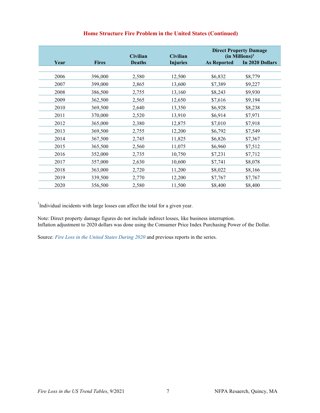|      |              | <b>Civilian</b> | <b>Civilian</b> | <b>Direct Property Damage</b><br>$(in$ Millions) <sup>1</sup> |                 |
|------|--------------|-----------------|-----------------|---------------------------------------------------------------|-----------------|
| Year | <b>Fires</b> | <b>Deaths</b>   | <b>Injuries</b> | <b>As Reported</b>                                            | In 2020 Dollars |
| 2006 | 396,000      | 2,580           | 12,500          | \$6,832                                                       | \$8,779         |
| 2007 | 399,000      | 2,865           | 13,600          | \$7,389                                                       | \$9,227         |
| 2008 | 386,500      | 2,755           | 13,160          | \$8,243                                                       | \$9,930         |
| 2009 | 362,500      | 2,565           | 12,650          | \$7,616                                                       | \$9,194         |
| 2010 | 369,500      | 2,640           | 13,350          | \$6,928                                                       | \$8,238         |
| 2011 | 370,000      | 2,520           | 13,910          | \$6,914                                                       | \$7,971         |
| 2012 | 365,000      | 2,380           | 12,875          | \$7,010                                                       | \$7,918         |
| 2013 | 369,500      | 2,755           | 12,200          | \$6,792                                                       | \$7,549         |
| 2014 | 367,500      | 2,745           | 11,825          | \$6,826                                                       | \$7,367         |
| 2015 | 365,500      | 2,560           | 11,075          | \$6,960                                                       | \$7,512         |
| 2016 | 352,000      | 2,735           | 10,750          | \$7,231                                                       | \$7,712         |
| 2017 | 357,000      | 2,630           | 10,600          | \$7,741                                                       | \$8,078         |
| 2018 | 363,000      | 2,720           | 11,200          | \$8,022                                                       | \$8,166         |
| 2019 | 339,500      | 2,770           | 12,200          | \$7,767                                                       | \$7,767         |
| 2020 | 356,500      | 2,580           | 11,500          | \$8,400                                                       | \$8,400         |

# **Home Structure Fire Problem in the United States (Continued)**

<sup>1</sup>Individual incidents with large losses can affect the total for a given year.

Note: Direct property damage figures do not include indirect losses, like business interruption. Inflation adjustment to 2020 dollars was done using the Consumer Price Index Purchasing Power of the Dollar.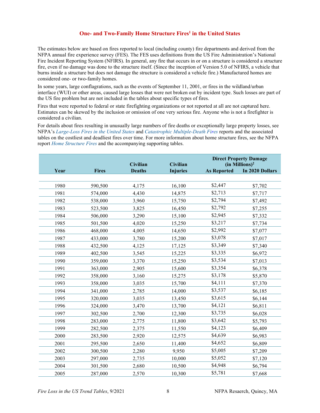### **One- and Two-Family Home Structure Fires<sup>1</sup> in the United States**

The estimates below are based on fires reported to local (including county) fire departments and derived from the NFPA annual fire experience survey (FES). The FES uses definitions from the US Fire Administration's National Fire Incident Reporting System (NFIRS). In general, any fire that occurs in or on a structure is considered a structure fire, even if no damage was done to the structure itself. (Since the inception of Version 5.0 of NFIRS, a vehicle that burns inside a structure but does not damage the structure is considered a vehicle fire.) Manufactured homes are considered one- or two-family homes.

In some years, large conflagrations, such as the events of September 11, 2001, or fires in the wildland/urban interface (WUI) or other areas, caused large losses that were not broken out by incident type. Such losses are part of the US fire problem but are not included in the tables about specific types of fires.

Fires that were reported to federal or state firefighting organizations or not reported at all are not captured here. Estimates can be skewed by the inclusion or omission of one very serious fire. Anyone who is not a firefighter is considered a civilian.

For details about fires resulting in unusually large numbers of fire deaths or exceptionally large property losses, see NFPA's *[Large-Loss Fires in the United States](https://www.nfpa.org/News-and-Research/Data-research-and-tools/US-Fire-Problem/Large-loss-fires-in-the-United-States)* and *[Catastrophic Multiple-Death Fires](https://www.nfpa.org/News-and-Research/Data-research-and-tools/US-Fire-Problem/Catastrophic-multiple-death-fires)* reports and the associated tables on the costliest and deadliest fires over time. For more information about home structure fires, see the NFPA report *[Home Structure Fires](https://www.nfpa.org/News-and-Research/Data-research-and-tools/Building-and-Life-Safety/Home-Structure-Fires)* and the accompanying supporting tables.

|      |              | <b>Civilian</b> | <b>Civilian</b> |                    | <b>Direct Property Damage</b><br>$(in$ Millions $)^2$ |
|------|--------------|-----------------|-----------------|--------------------|-------------------------------------------------------|
| Year | <b>Fires</b> | <b>Deaths</b>   | <b>Injuries</b> | <b>As Reported</b> | In 2020 Dollars                                       |
|      |              |                 |                 |                    |                                                       |
| 1980 | 590,500      | 4,175           | 16,100          | \$2,447            | \$7,702                                               |
| 1981 | 574,000      | 4,430           | 14,875          | \$2,713            | \$7,717                                               |
| 1982 | 538,000      | 3,960           | 15,750          | \$2,794            | \$7,492                                               |
| 1983 | 523,500      | 3,825           | 16,450          | \$2,792            | \$7,255                                               |
| 1984 | 506,000      | 3,290           | 15,100          | \$2,945            | \$7,332                                               |
| 1985 | 501,500      | 4,020           | 15,250          | \$3,217            | \$7,734                                               |
| 1986 | 468,000      | 4,005           | 14,650          | \$2,992            | \$7,077                                               |
| 1987 | 433,000      | 3,780           | 15,200          | \$3,078            | \$7,017                                               |
| 1988 | 432,500      | 4,125           | 17,125          | \$3,349            | \$7,340                                               |
| 1989 | 402,500      | 3,545           | 15,225          | \$3,335            | \$6,972                                               |
| 1990 | 359,000      | 3,370           | 15,250          | \$3,534            | \$7,013                                               |
| 1991 | 363,000      | 2,905           | 15,600          | \$3,354            | \$6,378                                               |
| 1992 | 358,000      | 3,160           | 15,275          | \$3,178            | \$5,870                                               |
| 1993 | 358,000      | 3,035           | 15,700          | \$4,111            | \$7,370                                               |
| 1994 | 341,000      | 2,785           | 14,000          | \$3,537            | \$6,185                                               |
| 1995 | 320,000      | 3,035           | 13,450          | \$3,615            | \$6,144                                               |
| 1996 | 324,000      | 3,470           | 13,700          | \$4,121            | \$6,811                                               |
| 1997 | 302,500      | 2,700           | 12,300          | \$3,735            | \$6,028                                               |
| 1998 | 283,000      | 2,775           | 11,800          | \$3,642            | \$5,793                                               |
| 1999 | 282,500      | 2,375           | 11,550          | \$4,123            | \$6,409                                               |
| 2000 | 283,500      | 2,920           | 12,575          | \$4,639            | \$6,983                                               |
| 2001 | 295,500      | 2,650           | 11,400          | \$4,652            | \$6,809                                               |
| 2002 | 300,500      | 2,280           | 9,950           | \$5,005            | \$7,209                                               |
| 2003 | 297,000      | 2,735           | 10,000          | \$5,052            | \$7,120                                               |
| 2004 | 301,500      | 2,680           | 10,500          | \$4,948            | \$6,794                                               |
| 2005 | 287,000      | 2,570           | 10,300          | \$5,781            | \$7,668                                               |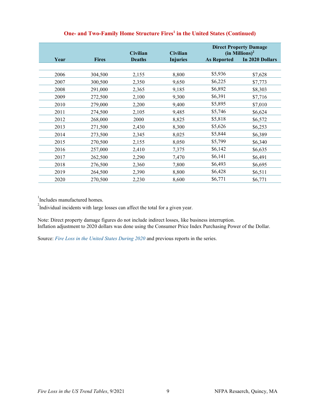|      |              | <b>Civilian</b> | <b>Civilian</b> | <b>Direct Property Damage</b><br>$(in$ Millions) <sup>2</sup> |                 |
|------|--------------|-----------------|-----------------|---------------------------------------------------------------|-----------------|
| Year | <b>Fires</b> | <b>Deaths</b>   | <b>Injuries</b> | <b>As Reported</b>                                            | In 2020 Dollars |
|      |              |                 |                 |                                                               |                 |
| 2006 | 304,500      | 2,155           | 8,800           | \$5,936                                                       | \$7,628         |
| 2007 | 300,500      | 2,350           | 9,650           | \$6,225                                                       | \$7,773         |
| 2008 | 291,000      | 2,365           | 9,185           | \$6,892                                                       | \$8,303         |
| 2009 | 272,500      | 2,100           | 9,300           | \$6,391                                                       | \$7,716         |
| 2010 | 279,000      | 2,200           | 9,400           | \$5,895                                                       | \$7,010         |
| 2011 | 274,500      | 2,105           | 9,485           | \$5,746                                                       | \$6,624         |
| 2012 | 268,000      | 2000            | 8,825           | \$5,818                                                       | \$6,572         |
| 2013 | 271,500      | 2,430           | 8,300           | \$5,626                                                       | \$6,253         |
| 2014 | 273,500      | 2,345           | 8,025           | \$5,844                                                       | \$6,389         |
| 2015 | 270,500      | 2,155           | 8,050           | \$5,799                                                       | \$6,340         |
| 2016 | 257,000      | 2,410           | 7,375           | \$6,142                                                       | \$6,635         |
| 2017 | 262,500      | 2,290           | 7,470           | \$6,141                                                       | \$6,491         |
| 2018 | 276,500      | 2,360           | 7,800           | \$6,493                                                       | \$6,695         |
| 2019 | 264,500      | 2,390           | 8,800           | \$6,428                                                       | \$6,511         |
| 2020 | 270,500      | 2,230           | 8,600           | \$6,771                                                       | \$6,771         |

# **One- and Two-Family Home Structure Fires<sup>1</sup> in the United States (Continued)**

Includes manufactured homes.

<sup>2</sup>Individual incidents with large losses can affect the total for a given year.

Note: Direct property damage figures do not include indirect losses, like business interruption. Inflation adjustment to 2020 dollars was done using the Consumer Price Index Purchasing Power of the Dollar.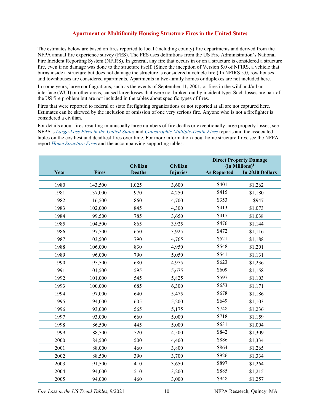#### **Apartment or Multifamily Housing Structure Fires in the United States**

The estimates below are based on fires reported to local (including county) fire departments and derived from the NFPA annual fire experience survey (FES). The FES uses definitions from the US Fire Administration's National Fire Incident Reporting System (NFIRS). In general, any fire that occurs in or on a structure is considered a structure fire, even if no damage was done to the structure itself. (Since the inception of Version 5.0 of NFIRS, a vehicle that burns inside a structure but does not damage the structure is considered a vehicle fire.) In NFIRS 5.0, row houses and townhouses are considered apartments. Apartments in two-family homes or duplexes are not included here.

In some years, large conflagrations, such as the events of September 11, 2001, or fires in the wildland/urban interface (WUI) or other areas, caused large losses that were not broken out by incident type. Such losses are part of the US fire problem but are not included in the tables about specific types of fires.

Fires that were reported to federal or state firefighting organizations or not reported at all are not captured here. Estimates can be skewed by the inclusion or omission of one very serious fire. Anyone who is not a firefighter is considered a civilian.

For details about fires resulting in unusually large numbers of fire deaths or exceptionally large property losses, see NFPA's *[Large-Loss Fires in the United States](https://www.nfpa.org/News-and-Research/Data-research-and-tools/US-Fire-Problem/Large-loss-fires-in-the-United-States)* and *[Catastrophic Multiple-Death Fires](https://www.nfpa.org/News-and-Research/Data-research-and-tools/US-Fire-Problem/Catastrophic-multiple-death-fires)* reports and the associated tables on the costliest and deadliest fires over time. For more information about home structure fires, see the NFPA report *[Home Structure Fires](https://www.nfpa.org/News-and-Research/Data-research-and-tools/Building-and-Life-Safety/Home-Structure-Fires)* and the accompanying supporting tables.

|      |              | Civilian      | Civilian        |                    | <b>Direct Property Damage</b><br>$(in$ Millions) <sup>1</sup> |
|------|--------------|---------------|-----------------|--------------------|---------------------------------------------------------------|
| Year | <b>Fires</b> | <b>Deaths</b> | <b>Injuries</b> | <b>As Reported</b> | In 2020 Dollars                                               |
|      |              |               |                 |                    |                                                               |
| 1980 | 143,500      | 1,025         | 3,600           | \$401              | \$1,262                                                       |
| 1981 | 137,000      | 970           | 4,250           | \$415              | \$1,180                                                       |
| 1982 | 116,500      | 860           | 4,700           | \$353              | \$947                                                         |
| 1983 | 102,000      | 845           | 4,300           | \$413              | \$1,073                                                       |
| 1984 | 99,500       | 785           | 3,650           | \$417              | \$1,038                                                       |
| 1985 | 104,500      | 865           | 3,925           | \$476              | \$1,144                                                       |
| 1986 | 97,500       | 650           | 3,925           | \$472              | \$1,116                                                       |
| 1987 | 103,500      | 790           | 4,765           | \$521              | \$1,188                                                       |
| 1988 | 106,000      | 830           | 4,950           | \$548              | \$1,201                                                       |
| 1989 | 96,000       | 790           | 5,050           | \$541              | \$1,131                                                       |
| 1990 | 95,500       | 680           | 4,975           | \$623              | \$1,236                                                       |
| 1991 | 101,500      | 595           | 5,675           | \$609              | \$1,158                                                       |
| 1992 | 101,000      | 545           | 5,825           | \$597              | \$1,103                                                       |
| 1993 | 100,000      | 685           | 6,300           | \$653              | \$1,171                                                       |
| 1994 | 97,000       | 640           | 5,475           | \$678              | \$1,186                                                       |
| 1995 | 94,000       | 605           | 5,200           | \$649              | \$1,103                                                       |
| 1996 | 93,000       | 565           | 5,175           | \$748              | \$1,236                                                       |
| 1997 | 93,000       | 660           | 5,000           | \$718              | \$1,159                                                       |
| 1998 | 86,500       | 445           | 5,000           | \$631              | \$1,004                                                       |
| 1999 | 88,500       | 520           | 4,500           | \$842              | \$1,309                                                       |
| 2000 | 84,500       | 500           | 4,400           | \$886              | \$1,334                                                       |
| 2001 | 88,000       | 460           | 3,800           | \$864              | \$1,265                                                       |
| 2002 | 88,500       | 390           | 3,700           | \$926              | \$1,334                                                       |
| 2003 | 91,500       | 410           | 3,650           | \$897              | \$1,264                                                       |
| 2004 | 94,000       | 510           | 3,200           | \$885              | \$1,215                                                       |
| 2005 | 94,000       | 460           | 3,000           | \$948              | \$1,257                                                       |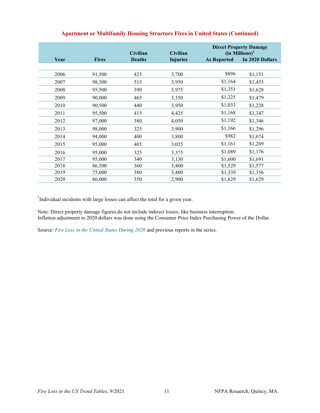|      |              | <b>Civilian</b> | Civilian        | <b>Direct Property Damage</b><br>$(in$ Millions) <sup>1</sup> |                 |
|------|--------------|-----------------|-----------------|---------------------------------------------------------------|-----------------|
| Year | <b>Fires</b> | <b>Deaths</b>   | <b>Injuries</b> | <b>As Reported</b>                                            | In 2020 Dollars |
|      |              |                 |                 |                                                               |                 |
| 2006 | 91,500       | 425             | 3,700           | \$896                                                         | \$1,151         |
| 2007 | 98,500       | 515             | 3,950           | \$1,164                                                       | \$1,453         |
| 2008 | 95,500       | 390             | 3,975           | \$1,351                                                       | \$1,628         |
| 2009 | 90,000       | 465             | 3,350           | \$1,225                                                       | \$1,479         |
| 2010 | 90,500       | 440             | 3,950           | \$1,033                                                       | \$1,228         |
| 2011 | 95,500       | 415             | 4,425           | \$1,168                                                       | \$1,347         |
| 2012 | 97,000       | 380             | 4,050           | \$1,192                                                       | \$1,346         |
| 2013 | 98,000       | 325             | 3,900           | \$1,166                                                       | \$1,296         |
| 2014 | 94,000       | 400             | 3,800           | \$982                                                         | \$1,074         |
| 2015 | 95,000       | 405             | 3,025           | \$1,161                                                       | \$1,269         |
| 2016 | 95,000       | 325             | 3,375           | \$1,089                                                       | \$1,176         |
| 2017 | 95,000       | 340             | 3,130           | \$1,600                                                       | \$1,691         |
| 2018 | 86,500       | 360             | 3,400           | \$1,529                                                       | \$1,577         |
| 2019 | 75,000       | 380             | 3,400           | \$1,339                                                       | \$1,356         |
| 2020 | 86,000       | 350             | 2,900           | \$1,629                                                       | \$1,629         |

# **Apartment or Multifamily Housing Structure Fires in United States (Continued)**

<sup>1</sup>Individual incidents with large losses can affect the total for a given year.

Note: Direct property damage figures do not include indirect losses, like business interruption. Inflation adjustment to 2020 dollars was done using the Consumer Price Index Purchasing Power of the Dollar.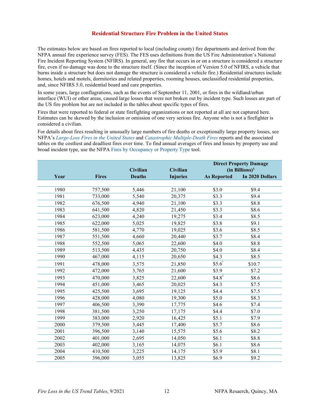#### **Residential Structure Fire Problem in the United States**

The estimates below are based on fires reported to local (including county) fire departments and derived from the NFPA annual fire experience survey (FES). The FES uses definitions from the US Fire Administration's National Fire Incident Reporting System (NFIRS). In general, any fire that occurs in or on a structure is considered a structure fire, even if no damage was done to the structure itself. (Since the inception of Version 5.0 of NFIRS, a vehicle that burns inside a structure but does not damage the structure is considered a vehicle fire.) Residential structures include homes, hotels and motels, dormitories and related properties, rooming houses, unclassified residential properties, and, since NFIRS 5.0, residential board and care properties.

In some years, large conflagrations, such as the events of September 11, 2001, or fires in the wildland/urban interface (WUI) or other areas, caused large losses that were not broken out by incident type. Such losses are part of the US fire problem but are not included in the tables about specific types of fires.

Fires that were reported to federal or state firefighting organizations or not reported at all are not captured here. Estimates can be skewed by the inclusion or omission of one very serious fire. Anyone who is not a firefighter is considered a civilian.

For details about fires resulting in unusually large numbers of fire deaths or exceptionally large property losses, see NFPA's *[Large-Loss Fires in the United States](https://www.nfpa.org/News-and-Research/Data-research-and-tools/US-Fire-Problem/Large-loss-fires-in-the-United-States)* and *[Catastrophic Multiple-Death Fires](https://www.nfpa.org/News-and-Research/Data-research-and-tools/US-Fire-Problem/Catastrophic-multiple-death-fires)* reports and the associated tables on the costliest and deadliest fires over time. To find annual averages of fires and losses by property use and broad incident type, use the NFPA [Fires by Occupancy or Property Type](https://www.nfpa.org/News-and-Research/Data-research-and-tools/US-Fire-Problem/Fires-by-occupancy-or-property-type) tool.

|      |              |                 |                 |                    | <b>Direct Property Damage</b> |
|------|--------------|-----------------|-----------------|--------------------|-------------------------------|
|      |              | <b>Civilian</b> | Civilian        |                    | $(in \text{ Billions})^1$     |
| Year | <b>Fires</b> | <b>Deaths</b>   | <b>Injuries</b> | <b>As Reported</b> | In 2020 Dollars               |
|      |              |                 |                 |                    |                               |
| 1980 | 757,500      | 5,446           | 21,100          | \$3.0              | \$9.4                         |
| 1981 | 733,000      | 5,540           | 20,375          | \$3.3              | \$9.4                         |
| 1982 | 676,500      | 4,940           | 21,100          | \$3.3              | \$8.8                         |
| 1983 | 641,500      | 4,820           | 21,450          | \$3.3              | \$8.6                         |
| 1984 | 623,000      | 4,240           | 19,275          | \$3.4              | \$8.5                         |
| 1985 | 622,000      | 5,025           | 19,825          | \$3.8              | \$9.1                         |
| 1986 | 581,500      | 4,770           | 19,025          | \$3.6              | \$8.5                         |
| 1987 | 551,500      | 4,660           | 20,440          | \$3.7              | \$8.4                         |
| 1988 | 552,500      | 5,065           | 22,600          | \$4.0              | \$8.8                         |
| 1989 | 513,500      | 4,435           | 20,750          | \$4.0              | \$8.4                         |
| 1990 | 467,000      | 4,115           | 20,650          | \$4.3              | \$8.5                         |
| 1991 | 478,000      | 3,575           | 21,850          | $$5.6^1$           | \$10.7                        |
| 1992 | 472,000      | 3,765           | 21,600          | \$3.9              | \$7.2                         |
| 1993 | 470,000      | 3,825           | 22,600          | $$4.8^2$           | \$8.6                         |
| 1994 | 451,000      | 3,465           | 20,025          | \$4.3              | \$7.5                         |
| 1995 | 425,500      | 3,695           | 19,125          | \$4.4              | \$7.5                         |
| 1996 | 428,000      | 4,080           | 19,300          | \$5.0              | \$8.3                         |
| 1997 | 406,500      | 3,390           | 17,775          | \$4.6              | \$7.4                         |
| 1998 | 381,500      | 3,250           | 17,175          | \$4.4              | \$7.0                         |
| 1999 | 383,000      | 2,920           | 16,425          | \$5.1              | \$7.9                         |
| 2000 | 379,500      | 3,445           | 17,400          | \$5.7              | \$8.6                         |
| 2001 | 396,500      | 3,140           | 15,575          | \$5.6              | \$8.2                         |
| 2002 | 401,000      | 2,695           | 14,050          | \$6.1              | \$8.8                         |
| 2003 | 402,000      | 3,165           | 14,075          | \$6.1              | \$8.6                         |
| 2004 | 410,500      | 3,225           | 14,175          | \$5.9              | \$8.1                         |
| 2005 | 396,000      | 3,055           | 13,825          | \$6.9              | \$9.2                         |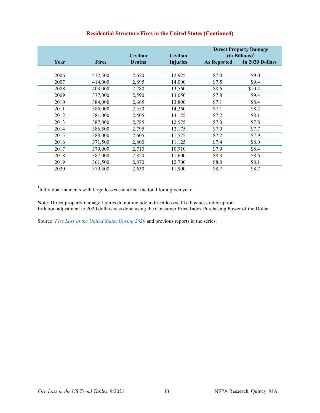|      |              | <b>Civilian</b> | <b>Civilian</b> | <b>Direct Property Damage</b><br>(in Billions) <sup>1</sup> |                 |  |
|------|--------------|-----------------|-----------------|-------------------------------------------------------------|-----------------|--|
| Year | <b>Fires</b> | <b>Deaths</b>   | <b>Injuries</b> | <b>As Reported</b>                                          | In 2020 Dollars |  |
|      |              |                 |                 |                                                             |                 |  |
| 2006 | 412,500      | 2,620           | 12,925          | \$7.0                                                       | \$9.0           |  |
| 2007 | 414,000      | 2,895           | 14,000          | \$7.5                                                       | \$9.4           |  |
| 2008 | 403,000      | 2,780           | 13,560          | \$8.6                                                       | \$10.4          |  |
| 2009 | 377,000      | 2,590           | 13,050          | \$7.8                                                       | \$9.4           |  |
| 2010 | 384,000      | 2,665           | 13,800          | \$7.1                                                       | \$8.4           |  |
| 2011 | 386,000      | 2,550           | 14,360          | \$7.1                                                       | \$8.2           |  |
| 2012 | 381,000      | 2,405           | 13,125          | \$7.2                                                       | \$8.1           |  |
| 2013 | 387,000      | 2,785           | 12,575          | \$7.0                                                       | \$7.8           |  |
| 2014 | 386,500      | 2,795           | 12,175          | \$7.0                                                       | \$7.7           |  |
| 2015 | 388,000      | 2,605           | 11,575          | \$7.2                                                       | \$7.9           |  |
| 2016 | 371,500      | 2,800           | 11,125          | \$7.4                                                       | \$8.0           |  |
| 2017 | 379,000      | 2,710           | 10,910          | \$7.9                                                       | \$8.4           |  |
| 2018 | 387,000      | 2,820           | 11,600          | \$8.3                                                       | \$8.6           |  |
| 2019 | 361,500      | 2,870           | 12,700          | \$8.0                                                       | \$8.1           |  |
| 2020 | 379,500      | 2,630           | 11,900          | \$8.7                                                       | \$8.7           |  |

# **Residential Structure Fires in the United States (Continued)**

<sup>1</sup>Individual incidents with large losses can affect the total for a given year.

Note: Direct property damage figures do not include indirect losses, like business interruption. Inflation adjustment to 2020 dollars was done using the Consumer Price Index Purchasing Power of the Dollar.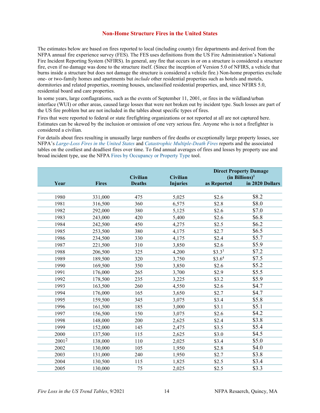#### **Non-Home Structure Fires in the United States**

The estimates below are based on fires reported to local (including county) fire departments and derived from the NFPA annual fire experience survey (FES). The FES uses definitions from the US Fire Administration's National Fire Incident Reporting System (NFIRS). In general, any fire that occurs in or on a structure is considered a structure fire, even if no damage was done to the structure itself. (Since the inception of Version 5.0 of NFIRS, a vehicle that burns inside a structure but does not damage the structure is considered a vehicle fire.) Non-home properties exclude one- or two-family homes and apartments but *include* other residential properties such as hotels and motels, dormitories and related properties, rooming houses, unclassified residential properties, and, since NFIRS 5.0, residential board and care properties.

In some years, large conflagrations, such as the events of September 11, 2001, or fires in the wildland/urban interface (WUI) or other areas, caused large losses that were not broken out by incident type. Such losses are part of the US fire problem but are not included in the tables about specific types of fires.

Fires that were reported to federal or state firefighting organizations or not reported at all are not captured here. Estimates can be skewed by the inclusion or omission of one very serious fire. Anyone who is not a firefighter is considered a civilian.

For details about fires resulting in unusually large numbers of fire deaths or exceptionally large property losses, see NFPA's *[Large-Loss Fires in the United States](https://www.nfpa.org/News-and-Research/Data-research-and-tools/US-Fire-Problem/Large-loss-fires-in-the-United-States)* and *[Catastrophic Multiple-Death Fires](https://www.nfpa.org/News-and-Research/Data-research-and-tools/US-Fire-Problem/Catastrophic-multiple-death-fires)* reports and the associated tables on the costliest and deadliest fires over time. To find annual averages of fires and losses by property use and broad incident type, use the NFPA [Fires by Occupancy or Property Type](https://www.nfpa.org/News-and-Research/Data-research-and-tools/US-Fire-Problem/Fires-by-occupancy-or-property-type) tool.

|       |              |                           |                 |                    | <b>Direct Property Damage</b>                 |
|-------|--------------|---------------------------|-----------------|--------------------|-----------------------------------------------|
|       |              | Civilian<br><b>Deaths</b> | Civilian        |                    | (in Billions) <sup>1</sup><br>in 2020 Dollars |
| Year  | <b>Fires</b> |                           | <b>Injuries</b> | as Reported        |                                               |
| 1980  | 331,000      | 475                       | 5,025           | \$2.6              | \$8.2                                         |
| 1981  | 316,500      | 360                       | 6,575           | \$2.8              | \$8.0                                         |
| 1982  | 292,000      | 380                       | 5,125           | \$2.6              | \$7.0                                         |
| 1983  | 243,000      | 420                       | 5,400           | \$2.6              | \$6.8                                         |
| 1984  | 242,500      | 450                       | 4,275           | \$2.5              | \$6.2                                         |
| 1985  | 253,500      | 380                       | 4,175           | \$2.7              | \$6.5                                         |
|       |              |                           |                 |                    | \$5.7                                         |
| 1986  | 234,500      | 330                       | 4,175           | \$2.4              |                                               |
| 1987  | 221,500      | 310                       | 3,850           | \$2.6              | \$5.9                                         |
| 1988  | 206,500      | 325                       | 4,200           | \$3.3 <sup>3</sup> | \$7.2                                         |
| 1989  | 189,500      | 320                       | 3,750           | \$3.6 <sup>4</sup> | \$7.5                                         |
| 1990  | 169,500      | 350                       | 3,850           | \$2.6              | \$5.2                                         |
| 1991  | 176,000      | 265                       | 3,700           | \$2.9              | \$5.5                                         |
| 1992  | 178,500      | 235                       | 3,225           | \$3.2              | \$5.9                                         |
| 1993  | 163,500      | 260                       | 4,550           | \$2.6              | \$4.7                                         |
| 1994  | 176,000      | 165                       | 3,650           | \$2.7              | \$4.7                                         |
| 1995  | 159,500      | 345                       | 3,075           | \$3.4              | \$5.8                                         |
| 1996  | 161,500      | 185                       | 3,000           | \$3.1              | \$5.1                                         |
| 1997  | 156,500      | 150                       | 3,075           | \$2.6              | \$4.2                                         |
| 1998  | 148,000      | 200                       | 2,625           | \$2.4              | \$3.8                                         |
| 1999  | 152,000      | 145                       | 2,475           | \$3.5              | \$5.4                                         |
| 2000  | 137,500      | 115                       | 2,625           | \$3.0              | \$4.5                                         |
| 20012 | 138,000      | 110                       | 2,025           | \$3.4              | \$5.0                                         |
| 2002  | 130,000      | 105                       | 1,950           | \$2.8              | \$4.0                                         |
| 2003  | 131,000      | 240                       | 1,950           | \$2.7              | \$3.8                                         |
| 2004  | 130,500      | 115                       | 1,825           | \$2.5              | \$3.4                                         |
| 2005  | 130,000      | 75                        | 2,025           | \$2.5              | \$3.3                                         |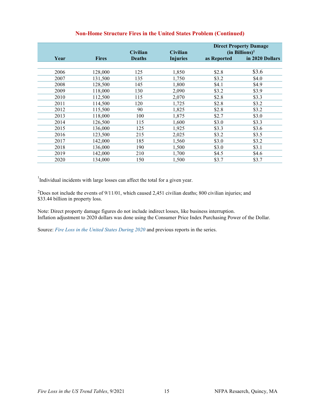|      |              | <b>Civilian</b> | <b>Civilian</b> | <b>Direct Property Damage</b><br>$(in \text{ Billions})^1$ |                 |
|------|--------------|-----------------|-----------------|------------------------------------------------------------|-----------------|
| Year | <b>Fires</b> | <b>Deaths</b>   | <b>Injuries</b> | as Reported                                                | in 2020 Dollars |
|      |              |                 |                 |                                                            |                 |
| 2006 | 128,000      | 125             | 1,850           | \$2.8                                                      | \$3.6           |
| 2007 | 131,500      | 135             | 1,750           | \$3.2                                                      | \$4.0           |
| 2008 | 128,500      | 145             | 1,800           | \$4.1                                                      | \$4.9           |
| 2009 | 118,000      | 130             | 2,090           | \$3.2                                                      | \$3.9           |
| 2010 | 112,500      | 115             | 2,070           | \$2.8                                                      | \$3.3           |
| 2011 | 114,500      | 120             | 1,725           | \$2.8                                                      | \$3.2           |
| 2012 | 115,500      | 90              | 1,825           | \$2.8                                                      | \$3.2           |
| 2013 | 118,000      | 100             | 1,875           | \$2.7                                                      | \$3.0           |
| 2014 | 126,500      | 115             | 1,600           | \$3.0                                                      | \$3.3           |
| 2015 | 136,000      | 125             | 1,925           | \$3.3                                                      | \$3.6           |
| 2016 | 123,500      | 215             | 2,025           | \$3.2                                                      | \$3.5           |
| 2017 | 142,000      | 185             | 1,560           | \$3.0                                                      | \$3.2           |
| 2018 | 136,000      | 190             | 1,500           | \$3.0                                                      | \$3.1           |
| 2019 | 142,000      | 210             | 1,700           | \$4.5                                                      | \$4.6           |
| 2020 | 134,000      | 150             | 1.500           | \$3.7                                                      | \$3.7           |

# **Non-Home Structure Fires in the United States Problem (Continued)**

<sup>1</sup>Individual incidents with large losses can affect the total for a given year.

2Does not include the events of 9/11/01, which caused 2,451 civilian deaths; 800 civilian injuries; and \$33.44 billion in property loss.

Note: Direct property damage figures do not include indirect losses, like business interruption. Inflation adjustment to 2020 dollars was done using the Consumer Price Index Purchasing Power of the Dollar.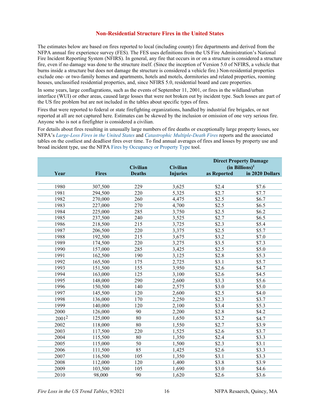#### **Non-Residential Structure Fires in the United States**

The estimates below are based on fires reported to local (including county) fire departments and derived from the NFPA annual fire experience survey (FES). The FES uses definitions from the US Fire Administration's National Fire Incident Reporting System (NFIRS). In general, any fire that occurs in or on a structure is considered a structure fire, even if no damage was done to the structure itself. (Since the inception of Version 5.0 of NFIRS, a vehicle that burns inside a structure but does not damage the structure is considered a vehicle fire.) Non-residential properties exclude one- or two-family homes and apartments, hotels and motels, dormitories and related properties, rooming houses, unclassified residential properties, and, since NFIRS 5.0, residential board and care properties.

In some years, large conflagrations, such as the events of September 11, 2001, or fires in the wildland/urban interface (WUI) or other areas, caused large losses that were not broken out by incident type. Such losses are part of the US fire problem but are not included in the tables about specific types of fires.

Fires that were reported to federal or state firefighting organizations, handled by industrial fire brigades, or not reported at all are not captured here. Estimates can be skewed by the inclusion or omission of one very serious fire. Anyone who is not a firefighter is considered a civilian.

For details about fires resulting in unusually large numbers of fire deaths or exceptionally large property losses, see NFPA's *[Large-Loss Fires in the United States](https://www.nfpa.org/News-and-Research/Data-research-and-tools/US-Fire-Problem/Large-loss-fires-in-the-United-States)* and *[Catastrophic Multiple-Death Fires](https://www.nfpa.org/News-and-Research/Data-research-and-tools/US-Fire-Problem/Catastrophic-multiple-death-fires)* reports and the associated tables on the costliest and deadliest fires over time. To find annual averages of fires and losses by property use and broad incident type, use the NFPA [Fires by Occupancy or Property Type](https://www.nfpa.org/News-and-Research/Data-research-and-tools/US-Fire-Problem/Fires-by-occupancy-or-property-type) tool.

|                   |              |                 |                 |               | <b>Direct Property Damage</b> |
|-------------------|--------------|-----------------|-----------------|---------------|-------------------------------|
|                   |              | <b>Civilian</b> | Civilian        |               | $(in$ Billions) <sup>1</sup>  |
| Year              | <b>Fires</b> | <b>Deaths</b>   | <b>Injuries</b> | as Reported   | in 2020 Dollars               |
|                   |              |                 |                 |               |                               |
| 1980              | 307,500      | 229             | 3,625           | \$2.4         | \$7.6                         |
| 1981              | 294,500      | 220             | 5,325           | \$2.7         | \$7.7                         |
| 1982              | 270,000      | 260             | 4,475           | \$2.5         | \$6.7                         |
| 1983              | 227,000      | 270             | 4,700           | \$2.5         | \$6.5                         |
| 1984              | 225,000      | 285             | 3,750           | \$2.5         | \$6.2\$                       |
| 1985              | 237,500      | 240             | 3,525           | \$2.7         | \$6.5                         |
| 1986              | 218,500      | 215             | 3,725           | \$2.3         | \$5.4                         |
| 1987              | 206,500      | 220             | 3,375           | \$2.5         | \$5.7                         |
| 1988              | 192,500      | 215             | 3,675           | $\sqrt{$3.2}$ | \$7.0                         |
| 1989              | 174,500      | 220             | 3,275           | \$3.5         | \$7.3                         |
| 1990              | 157,000      | 285             | 3,425           | \$2.5         | \$5.0                         |
| 1991              | 162,500      | 190             | 3,125           | \$2.8         | \$5.3                         |
| 1992              | 165,500      | 175             | 2,725           | \$3.1         | \$5.7                         |
| 1993              | 151,500      | 155             | 3,950           | \$2.6         | \$4.7                         |
| 1994              | 163,000      | 125             | 3,100           | \$2.6         | \$4.5                         |
| 1995              | 148,000      | 290             | 2,600           | \$3.3         | \$5.6                         |
| 1996              | 150,500      | 140             | 2,575           | \$3.0         | \$5.0                         |
| 1997              | 145,500      | 120             | 2,600           | \$2.5         | \$4.0                         |
| 1998              | 136,000      | 170             | 2,250           | \$2.3         | \$3.7                         |
| 1999              | 140,000      | 120             | 2,100           | \$3.4         | \$5.3                         |
| 2000              | 126,000      | 90              | 2,200           | \$2.8         | \$4.2                         |
| 20012             | 125,000      | 80              | 1,650           | \$3.2         | \$4.7                         |
| 2002              | 118,000      | $\overline{80}$ | 1,550           | $\sqrt{$2.7}$ | \$3.9                         |
| $\overline{2003}$ | 117,500      | 220             | 1,525           | $\sqrt{$2.6}$ | $\sqrt{$3.7}$                 |
| 2004              | 115,500      | 80              | 1,350           | \$2.4         | \$3.3                         |
| 2005              | 115,000      | $\overline{50}$ | 1,500           | $\sqrt{$2.3}$ | \$3.1                         |
| 2006              | 111,500      | 85              | 1,425           | \$2.6         | \$3.3                         |
| 2007              | 116,500      | 105             | 1,350           | $\sqrt{$3.1}$ | \$3.3                         |
| 2008              | 112,000      | 120             | 1,400           | \$3.8         | \$3.9                         |
| 2009              | 103,500      | 105             | 1,690           | \$3.0         | \$4.6                         |
| 2010              | 98,000       | $\overline{90}$ | 1,620           | \$2.6         | \$3.6                         |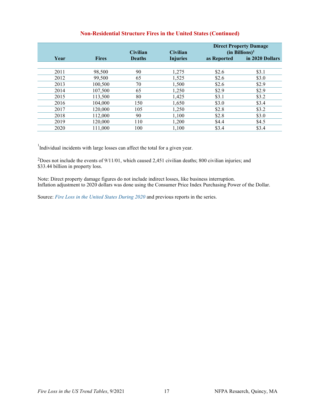# **Non-Residential Structure Fires in the United States (Continued)**

|      |              | <b>Civilian</b> | <b>Civilian</b> | <b>Direct Property Damage</b><br>$(in \text{ Billions})^1$ |                 |
|------|--------------|-----------------|-----------------|------------------------------------------------------------|-----------------|
| Year | <b>Fires</b> | <b>Deaths</b>   | <b>Injuries</b> | as Reported                                                | in 2020 Dollars |
|      |              |                 |                 |                                                            |                 |
| 2011 | 98,500       | 90              | 1,275           | \$2.6                                                      | \$3.1           |
| 2012 | 99,500       | 65              | 1,525           | \$2.6                                                      | \$3.0           |
| 2013 | 100,500      | 70              | 1,500           | \$2.6                                                      | \$2.9           |
| 2014 | 107,500      | 65              | 1,250           | \$2.9                                                      | \$2.9           |
| 2015 | 113,500      | 80              | 1,425           | \$3.1                                                      | \$3.2           |
| 2016 | 104,000      | 150             | 1,650           | \$3.0                                                      | \$3.4           |
| 2017 | 120,000      | 105             | 1,250           | \$2.8                                                      | \$3.2           |
| 2018 | 112,000      | 90              | 1,100           | \$2.8                                                      | \$3.0           |
| 2019 | 120,000      | 110             | 1,200           | \$4.4                                                      | \$4.5           |
| 2020 | 111.000      | 100             | 1.100           | \$3.4                                                      | \$3.4           |

<sup>1</sup>Individual incidents with large losses can affect the total for a given year.

2Does not include the events of 9/11/01, which caused 2,451 civilian deaths; 800 civilian injuries; and \$33.44 billion in property loss.

Note: Direct property damage figures do not include indirect losses, like business interruption. Inflation adjustment to 2020 dollars was done using the Consumer Price Index Purchasing Power of the Dollar.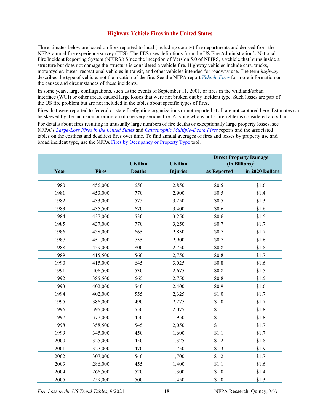#### **Highway Vehicle Fires in the United States**

The estimates below are based on fires reported to local (including county) fire departments and derived from the NFPA annual fire experience survey (FES). The FES uses definitions from the US Fire Administration's National Fire Incident Reporting System (NFIRS.) Since the inception of Version 5.0 of NFIRS, a vehicle that burns inside a structure but does not damage the structure is considered a vehicle fire. Highway vehicles include cars, trucks, motorcycles, buses, recreational vehicles in transit, and other vehicles intended for roadway use. The term *highway* describes the type of vehicle, not the location of the fire. See the NFPA report *[Vehicle Fires](https://www.nfpa.org/-/media/Files/News-and-Research/Fire-statistics-and-reports/US-Fire-Problem/osvehiclefires.pdf)* for more information on the causes and circumstances of these incidents.

In some years, large conflagrations, such as the events of September 11, 2001, or fires in the wildland/urban interface (WUI) or other areas, caused large losses that were not broken out by incident type. Such losses are part of the US fire problem but are not included in the tables about specific types of fires.

Fires that were reported to federal or state firefighting organizations or not reported at all are not captured here. Estimates can be skewed by the inclusion or omission of one very serious fire. Anyone who is not a firefighter is considered a civilian.

For details about fires resulting in unusually large numbers of fire deaths or exceptionally large property losses, see NFPA's *[Large-Loss Fires in the United States](https://www.nfpa.org/News-and-Research/Data-research-and-tools/US-Fire-Problem/Large-loss-fires-in-the-United-States)* and *[Catastrophic Multiple-Death Fires](https://www.nfpa.org/News-and-Research/Data-research-and-tools/US-Fire-Problem/Catastrophic-multiple-death-fires)* reports and the associated tables on the costliest and deadliest fires over time. To find annual averages of fires and losses by property use and broad incident type, use the NFPA [Fires by Occupancy or Property Type](https://www.nfpa.org/News-and-Research/Data-research-and-tools/US-Fire-Problem/Fires-by-occupancy-or-property-type) tool.

|      |              | Civilian      | Civilian        |             | <b>Direct Property Damage</b><br>$(in \text{ Billions})^1$ |
|------|--------------|---------------|-----------------|-------------|------------------------------------------------------------|
| Year | <b>Fires</b> | <b>Deaths</b> | <b>Injuries</b> | as Reported | in 2020 Dollars                                            |
|      |              |               |                 |             |                                                            |
| 1980 | 456,000      | 650           | 2,850           | \$0.5       | \$1.6                                                      |
| 1981 | 453,000      | 770           | 2,900           | \$0.5       | \$1.4                                                      |
| 1982 | 433,000      | 575           | 3,250           | \$0.5       | \$1.3                                                      |
| 1983 | 435,500      | 670           | 3,400           | \$0.6       | \$1.6                                                      |
| 1984 | 437,000      | 530           | 3,250           | \$0.6       | \$1.5                                                      |
| 1985 | 437,000      | 770           | 3,250           | \$0.7       | \$1.7                                                      |
| 1986 | 438,000      | 665           | 2,850           | \$0.7       | \$1.7                                                      |
| 1987 | 451,000      | 755           | 2,900           | \$0.7       | \$1.6                                                      |
| 1988 | 459,000      | 800           | 2,750           | \$0.8       | \$1.8                                                      |
| 1989 | 415,500      | 560           | 2,750           | \$0.8       | \$1.7                                                      |
| 1990 | 415,000      | 645           | 3,025           | \$0.8       | \$1.6                                                      |
| 1991 | 406,500      | 530           | 2,675           | \$0.8       | \$1.5                                                      |
| 1992 | 385,500      | 665           | 2,750           | \$0.8       | \$1.5                                                      |
| 1993 | 402,000      | 540           | 2,400           | \$0.9       | \$1.6                                                      |
| 1994 | 402,000      | 555           | 2,325           | \$1.0       | \$1.7                                                      |
| 1995 | 386,000      | 490           | 2,275           | \$1.0       | \$1.7                                                      |
| 1996 | 395,000      | 550           | 2,075           | \$1.1       | \$1.8                                                      |
| 1997 | 377,000      | 450           | 1,950           | \$1.1       | \$1.8                                                      |
| 1998 | 358,500      | 545           | 2,050           | \$1.1       | \$1.7                                                      |
| 1999 | 345,000      | 450           | 1,600           | \$1.1       | \$1.7                                                      |
| 2000 | 325,000      | 450           | 1,325           | \$1.2       | \$1.8                                                      |
| 2001 | 327,000      | 470           | 1,750           | \$1.3       | \$1.9                                                      |
| 2002 | 307,000      | 540           | 1,700           | \$1.2       | \$1.7                                                      |
| 2003 | 286,000      | 455           | 1,400           | \$1.1       | \$1.6                                                      |
| 2004 | 266,500      | 520           | 1,300           | \$1.0       | \$1.4                                                      |
| 2005 | 259,000      | 500           | 1,450           | \$1.0       | \$1.3                                                      |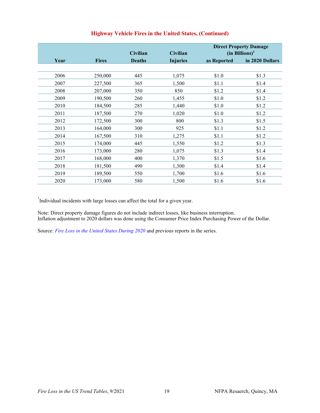|      |              | <b>Civilian</b> | <b>Civilian</b> | <b>Direct Property Damage</b><br>(in Billions) <sup>1</sup> |                 |
|------|--------------|-----------------|-----------------|-------------------------------------------------------------|-----------------|
| Year | <b>Fires</b> | <b>Deaths</b>   | <b>Injuries</b> | as Reported                                                 | in 2020 Dollars |
|      |              |                 |                 |                                                             |                 |
| 2006 | 250,000      | 445             | 1,075           | \$1.0                                                       | \$1.3           |
| 2007 | 227,500      | 365             | 1,500           | \$1.1                                                       | \$1.4           |
| 2008 | 207,000      | 350             | 850             | \$1.2                                                       | \$1.4           |
| 2009 | 190,500      | 260             | 1,455           | \$1.0                                                       | \$1.2           |
| 2010 | 184,500      | 285             | 1,440           | \$1.0                                                       | \$1.2           |
| 2011 | 187,500      | 270             | 1,020           | \$1.0                                                       | \$1.2           |
| 2012 | 172,500      | 300             | 800             | \$1.3                                                       | \$1.5           |
| 2013 | 164,000      | 300             | 925             | \$1.1                                                       | \$1.2           |
| 2014 | 167,500      | 310             | 1,275           | \$1.1                                                       | \$1.2           |
| 2015 | 174,000      | 445             | 1,550           | \$1.2                                                       | \$1.3           |
| 2016 | 173,000      | 280             | 1,075           | \$1.3                                                       | \$1.4           |
| 2017 | 168,000      | 400             | 1,370           | \$1.5                                                       | \$1.6           |
| 2018 | 181,500      | 490             | 1,300           | \$1.4                                                       | \$1.4           |
| 2019 | 189,500      | 550             | 1,700           | \$1.6                                                       | \$1.6           |
| 2020 | 173,000      | 580             | 1,500           | \$1.6                                                       | \$1.6           |

# **Highway Vehicle Fires in the United States, (Continued)**

<sup>1</sup>Individual incidents with large losses can affect the total for a given year.

Note: Direct property damage figures do not include indirect losses, like business interruption. Inflation adjustment to 2020 dollars was done using the Consumer Price Index Purchasing Power of the Dollar.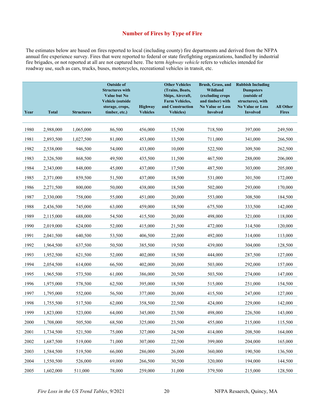### **Number of Fires by Type of Fire**

The estimates below are based on fires reported to local (including county) fire departments and derived from the NFPA annual fire experience survey. Fires that were reported to federal or state firefighting organizations, handled by industrial fire brigades, or not reported at all are not captured here. The term *highway vehicle* refers to vehicles intended for roadway use, such as cars, trucks, buses, motorcycles, recreational vehicles in transit, etc.

|      |              |                   | <b>Outside of</b><br><b>Structures with</b><br><b>Value but No</b><br>Vehicle (outside |                                   | <b>Other Vehicles</b><br>(Trains, Boats,<br>Ships, Aircraft,<br><b>Farm Vehicles,</b> | Brush, Grass, and<br>Wildland<br>(excluding crops<br>and timber) with | <b>Rubbish Including</b><br><b>Dumpsters</b><br>(outside of<br>structures), with |                                  |
|------|--------------|-------------------|----------------------------------------------------------------------------------------|-----------------------------------|---------------------------------------------------------------------------------------|-----------------------------------------------------------------------|----------------------------------------------------------------------------------|----------------------------------|
| Year | <b>Total</b> | <b>Structures</b> | storage, crops,<br>timber, etc.)                                                       | <b>Highway</b><br><b>Vehicles</b> | and Construction<br><b>Vehicles</b> )                                                 | <b>No Value or Loss</b><br><b>Involved</b>                            | <b>No Value or Loss</b><br><b>Involved</b>                                       | <b>All Other</b><br><b>Fires</b> |
|      |              |                   |                                                                                        |                                   |                                                                                       |                                                                       |                                                                                  |                                  |
| 1980 | 2,988,000    | 1,065,000         | 86,500                                                                                 | 456,000                           | 15,500                                                                                | 718,500                                                               | 397,000                                                                          | 249,500                          |
| 1981 | 2,893,500    | 1,027,500         | 81,000                                                                                 | 453,000                           | 13,500                                                                                | 711,000                                                               | 341,000                                                                          | 266,500                          |
| 1982 | 2,538,000    | 946,500           | 54,000                                                                                 | 433,000                           | 10,000                                                                                | 522,500                                                               | 309,500                                                                          | 262,500                          |
| 1983 | 2,326,500    | 868,500           | 49,500                                                                                 | 435,500                           | 11,500                                                                                | 467,500                                                               | 288,000                                                                          | 206,000                          |
| 1984 | 2,343,000    | 848,000           | 45,000                                                                                 | 437,000                           | 17,500                                                                                | 487,500                                                               | 303,000                                                                          | 205,000                          |
| 1985 | 2,371,000    | 859,500           | 51,500                                                                                 | 437,000                           | 18,500                                                                                | 531,000                                                               | 301,500                                                                          | 172,000                          |
| 1986 | 2,271,500    | 800,000           | 50,000                                                                                 | 438,000                           | 18,500                                                                                | 502,000                                                               | 293,000                                                                          | 170,000                          |
| 1987 | 2,330,000    | 758,000           | 55,000                                                                                 | 451,000                           | 20,000                                                                                | 553,000                                                               | 308,500                                                                          | 184,500                          |
| 1988 | 2,436,500    | 745,000           | 63,000                                                                                 | 459,000                           | 18,500                                                                                | 675,500                                                               | 333,500                                                                          | 142,000                          |
| 1989 | 2,115,000    | 688,000           | 54,500                                                                                 | 415,500                           | 20,000                                                                                | 498,000                                                               | 321,000                                                                          | 118,000                          |
| 1990 | 2,019,000    | 624,000           | 52,000                                                                                 | 415,000                           | 21,500                                                                                | 472,000                                                               | 314,500                                                                          | 120,000                          |
| 1991 | 2,041,500    | 640,500           | 53,500                                                                                 | 406,500                           | 22,000                                                                                | 492,000                                                               | 314,000                                                                          | 113,000                          |
| 1992 | 1,964,500    | 637,500           | 50,500                                                                                 | 385,500                           | 19,500                                                                                | 439,000                                                               | 304,000                                                                          | 128,500                          |
| 1993 | 1,952,500    | 621,500           | 52,000                                                                                 | 402,000                           | 18,500                                                                                | 444,000                                                               | 287,500                                                                          | 127,000                          |
| 1994 | 2,054,500    | 614,000           | 66,500                                                                                 | 402,000                           | 20,000                                                                                | 503,000                                                               | 292,000                                                                          | 157,000                          |
| 1995 | 1,965,500    | 573,500           | 61,000                                                                                 | 386,000                           | 20,500                                                                                | 503,500                                                               | 274,000                                                                          | 147,000                          |
| 1996 | 1,975,000    | 578,500           | 62,500                                                                                 | 395,000                           | 18,500                                                                                | 515,000                                                               | 251,000                                                                          | 154,500                          |
| 1997 | 1,795,000    | 552,000           | 56,500                                                                                 | 377,000                           | 20,000                                                                                | 415,500                                                               | 247,000                                                                          | 127,000                          |
| 1998 | 1,755,500    | 517,500           | 62,000                                                                                 | 358,500                           | 22,500                                                                                | 424,000                                                               | 229,000                                                                          | 142,000                          |
| 1999 | 1,823,000    | 523,000           | 64,000                                                                                 | 345,000                           | 23,500                                                                                | 498,000                                                               | 226,500                                                                          | 143,000                          |
| 2000 | 1,708,000    | 505,500           | 68,500                                                                                 | 325,000                           | 23,500                                                                                | 455,000                                                               | 215,000                                                                          | 115,500                          |
| 2001 | 1,734,500    | 521,500           | 75,000                                                                                 | 327,000                           | 24,500                                                                                | 414,000                                                               | 208,500                                                                          | 164,000                          |
| 2002 | 1,687,500    | 519,000           | 71,000                                                                                 | 307,000                           | 22,500                                                                                | 399,000                                                               | 204,000                                                                          | 165,000                          |
| 2003 | 1,584,500    | 519,500           | 66,000                                                                                 | 286,000                           | 26,000                                                                                | 360,000                                                               | 190,500                                                                          | 136,500                          |
| 2004 | 1,550,500    | 526,000           | 69,000                                                                                 | 266,500                           | 30,500                                                                                | 320,000                                                               | 194,000                                                                          | 144,500                          |
| 2005 | 1,602,000    | 511,000           | 78,000                                                                                 | 259,000                           | 31,000                                                                                | 379,500                                                               | 215,000                                                                          | 128,500                          |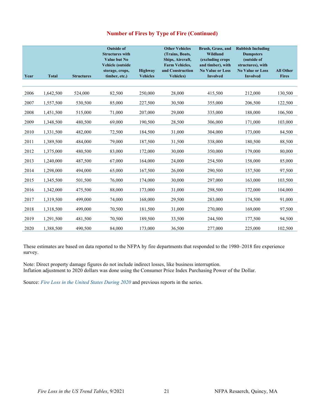# **Number of Fires by Type of Fire (Continued)**

| Year | <b>Total</b> | <b>Structures</b> | <b>Outside of</b><br><b>Structures with</b><br><b>Value but No</b><br><b>Vehicle</b> (outside<br>storage, crops,<br>timber, etc.) | <b>Highway</b><br><b>Vehicles</b> | <b>Other Vehicles</b><br>(Trains, Boats,<br>Ships, Aircraft,<br><b>Farm Vehicles,</b><br>and Construction<br><b>Vehicles</b> ) | Brush, Grass, and<br><b>Wildland</b><br>(excluding crops<br>and timber), with<br><b>No Value or Loss</b><br><b>Involved</b> | <b>Rubbish Including</b><br><b>Dumpsters</b><br>(outside of<br>structures), with<br><b>No Value or Loss</b><br><b>Involved</b> | <b>All Other</b><br><b>Fires</b> |
|------|--------------|-------------------|-----------------------------------------------------------------------------------------------------------------------------------|-----------------------------------|--------------------------------------------------------------------------------------------------------------------------------|-----------------------------------------------------------------------------------------------------------------------------|--------------------------------------------------------------------------------------------------------------------------------|----------------------------------|
|      |              |                   |                                                                                                                                   |                                   |                                                                                                                                |                                                                                                                             |                                                                                                                                |                                  |
| 2006 | 1,642,500    | 524,000           | 82,500                                                                                                                            | 250,000                           | 28,000                                                                                                                         | 415,500                                                                                                                     | 212,000                                                                                                                        | 130,500                          |
| 2007 | 1,557,500    | 530,500           | 85,000                                                                                                                            | 227,500                           | 30,500                                                                                                                         | 355,000                                                                                                                     | 206,500                                                                                                                        | 122,500                          |
| 2008 | 1,451,500    | 515,000           | 71,000                                                                                                                            | 207,000                           | 29,000                                                                                                                         | 335,000                                                                                                                     | 188,000                                                                                                                        | 106,500                          |
| 2009 | 1,348,500    | 480,500           | 69,000                                                                                                                            | 190,500                           | 28,500                                                                                                                         | 306,000                                                                                                                     | 171,000                                                                                                                        | 103,000                          |
| 2010 | 1,331,500    | 482,000           | 72,500                                                                                                                            | 184,500                           | 31,000                                                                                                                         | 304,000                                                                                                                     | 173,000                                                                                                                        | 84,500                           |
| 2011 | 1,389,500    | 484,000           | 79,000                                                                                                                            | 187,500                           | 31,500                                                                                                                         | 338,000                                                                                                                     | 180,500                                                                                                                        | 88,500                           |
| 2012 | 1,375,000    | 480,500           | 83,000                                                                                                                            | 172,000                           | 30,000                                                                                                                         | 350,000                                                                                                                     | 179,000                                                                                                                        | 80,000                           |
| 2013 | 1,240,000    | 487,500           | 67,000                                                                                                                            | 164,000                           | 24,000                                                                                                                         | 254,500                                                                                                                     | 158,000                                                                                                                        | 85,000                           |
| 2014 | 1,298,000    | 494,000           | 65,000                                                                                                                            | 167,500                           | 26,000                                                                                                                         | 290,500                                                                                                                     | 157,500                                                                                                                        | 97,500                           |
| 2015 | 1,345,500    | 501,500           | 76,000                                                                                                                            | 174,000                           | 30,000                                                                                                                         | 297,000                                                                                                                     | 163,000                                                                                                                        | 103,500                          |
| 2016 | 1,342,000    | 475,500           | 88,000                                                                                                                            | 173,000                           | 31,000                                                                                                                         | 298,500                                                                                                                     | 172,000                                                                                                                        | 104,000                          |
| 2017 | 1,319,500    | 499,000           | 74,000                                                                                                                            | 168,000                           | 29,500                                                                                                                         | 283,000                                                                                                                     | 174,500                                                                                                                        | 91,000                           |
| 2018 | 1,318,500    | 499,000           | 70,500                                                                                                                            | 181,500                           | 31,000                                                                                                                         | 270,000                                                                                                                     | 169,000                                                                                                                        | 97,500                           |
| 2019 | 1,291,500    | 481,500           | 70,500                                                                                                                            | 189,500                           | 33,500                                                                                                                         | 244,500                                                                                                                     | 177,500                                                                                                                        | 94,500                           |
| 2020 | 1,388,500    | 490,500           | 84,000                                                                                                                            | 173,000                           | 36,500                                                                                                                         | 277,000                                                                                                                     | 225,000                                                                                                                        | 102,500                          |

These estimates are based on data reported to the NFPA by fire departments that responded to the 1980–2018 fire experience survey.

Note: Direct property damage figures do not include indirect losses, like business interruption. Inflation adjustment to 2020 dollars was done using the Consumer Price Index Purchasing Power of the Dollar.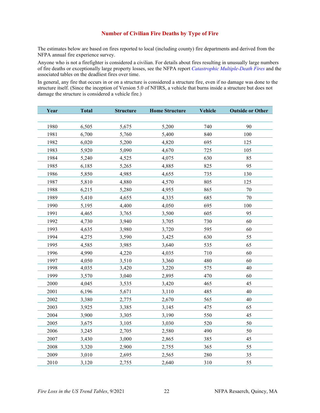### **Number of Civilian Fire Deaths by Type of Fire**

The estimates below are based on fires reported to local (including county) fire departments and derived from the NFPA annual fire experience survey.

Anyone who is not a firefighter is considered a civilian. For details about fires resulting in unusually large numbers of fire deaths or exceptionally large property losses, see the NFPA report *[Catastrophic Multiple-Death Fires](https://www.nfpa.org/News-and-Research/Data-research-and-tools/US-Fire-Problem/Catastrophic-multiple-death-fires)* and the associated tables on the deadliest fires over time.

In general, any fire that occurs in or on a structure is considered a structure fire, even if no damage was done to the structure itself. (Since the inception of Version 5.0 of NFIRS, a vehicle that burns inside a structure but does not damage the structure is considered a vehicle fire.)

| Year | <b>Total</b> | <b>Structure</b> | <b>Home Structure</b> | <b>Vehicle</b> | <b>Outside or Other</b> |
|------|--------------|------------------|-----------------------|----------------|-------------------------|
|      |              |                  |                       |                |                         |
| 1980 | 6,505        | 5,675            | 5,200                 | 740            | 90                      |
| 1981 | 6,700        | 5,760            | 5,400                 | 840            | 100                     |
| 1982 | 6,020        | 5,200            | 4,820                 | 695            | 125                     |
| 1983 | 5,920        | 5,090            | 4,670                 | 725            | 105                     |
| 1984 | 5,240        | 4,525            | 4,075                 | 630            | 85                      |
| 1985 | 6,185        | 5,265            | 4,885                 | 825            | 95                      |
| 1986 | 5,850        | 4,985            | 4,655                 | 735            | 130                     |
| 1987 | 5,810        | 4,880            | 4,570                 | 805            | 125                     |
| 1988 | 6,215        | 5,280            | 4,955                 | 865            | 70                      |
| 1989 | 5,410        | 4,655            | 4,335                 | 685            | $70\,$                  |
| 1990 | 5,195        | 4,400            | 4,050                 | 695            | 100                     |
| 1991 | 4,465        | 3,765            | 3,500                 | 605            | 95                      |
| 1992 | 4,730        | 3,940            | 3,705                 | 730            | 60                      |
| 1993 | 4,635        | 3,980            | 3,720                 | 595            | 60                      |
| 1994 | 4,275        | 3,590            | 3,425                 | 630            | 55                      |
| 1995 | 4,585        | 3,985            | 3,640                 | 535            | 65                      |
| 1996 | 4,990        | 4,220            | 4,035                 | 710            | 60                      |
| 1997 | 4,050        | 3,510            | 3,360                 | 480            | 60                      |
| 1998 | 4,035        | 3,420            | 3,220                 | 575            | 40                      |
| 1999 | 3,570        | 3,040            | 2,895                 | 470            | 60                      |
| 2000 | 4,045        | 3,535            | 3,420                 | 465            | 45                      |
| 2001 | 6,196        | 5,671            | 3,110                 | 485            | 40                      |
| 2002 | 3,380        | 2,775            | 2,670                 | 565            | 40                      |
| 2003 | 3,925        | 3,385            | 3,145                 | 475            | 65                      |
| 2004 | 3,900        | 3,305            | 3,190                 | 550            | 45                      |
| 2005 | 3,675        | 3,105            | 3,030                 | 520            | 50                      |
| 2006 | 3,245        | 2,705            | 2,580                 | 490            | 50                      |
| 2007 | 3,430        | 3,000            | 2,865                 | 385            | 45                      |
| 2008 | 3,320        | 2,900            | 2,755                 | 365            | 55                      |
| 2009 | 3,010        | 2,695            | 2,565                 | 280            | 35                      |
| 2010 | 3,120        | 2,755            | 2,640                 | 310            | 55                      |